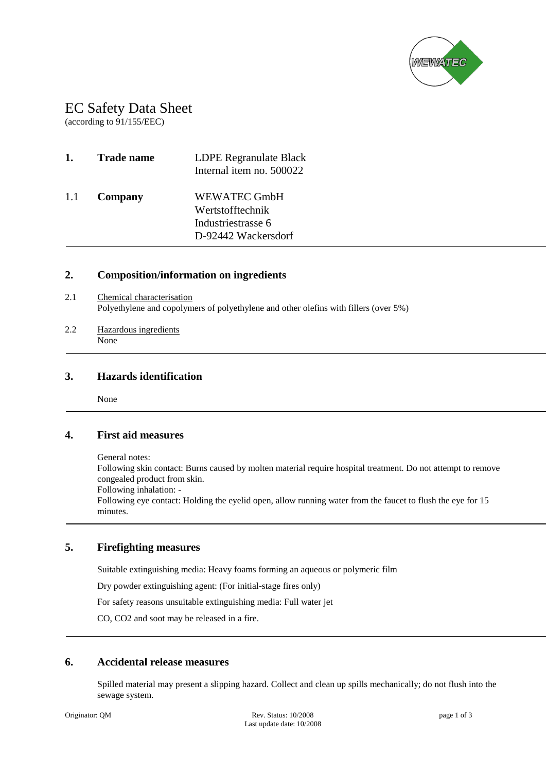

# EC Safety Data Sheet EC<br>(accor

(according to 91/155/EEC)

| 1.  | <b>Trade name</b> | LDPE Regranulate Black<br>Internal item no. 500022                                   |
|-----|-------------------|--------------------------------------------------------------------------------------|
| 1.1 | Company           | <b>WEWATEC GmbH</b><br>Wertstofftechnik<br>Industriestrasse 6<br>D-92442 Wackersdorf |

## **2. Composition/information on ingredients**

- 2.1 Chemical characterisation Polyethylene and copolymers of polyethylene and other olefins with fillers (over 5%)
- 2.2 Hazardous ingredients None

## **3. Hazards identification**

None

## **4. First aid measures**

General notes: Following skin contact: Burns caused by molten material require hospital treatment. Do not attempt to remove congealed product from skin. Following inhalation: -

Following eye contact: Holding the eyelid open, allow running water from the faucet to flush the eye for 15 minutes.

## **5. Firefighting measures**

Suitable extinguishing media: Heavy foams forming an aqueous or polymeric film

Dry powder extinguishing agent: (For initial-stage fires only)

For safety reasons unsuitable extinguishing media: Full water jet

CO, CO2 and soot may be released in a fire.

## **6. Accidental release measures**

Spilled material may present a slipping hazard. Collect and clean up spills mechanically; do not flush into the sewage system.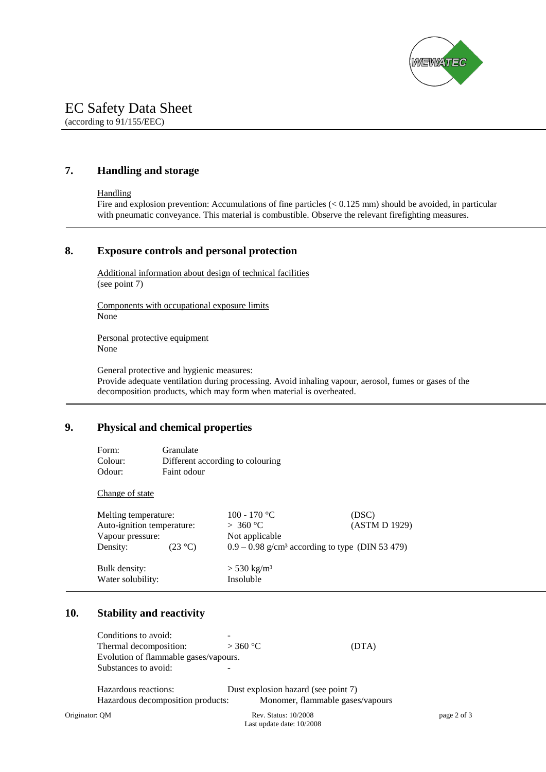

# EC Safety Data Sheet

(according to 91/155/EEC)

## **7. Handling and storage**

#### **Handling**

Fire and explosion prevention: Accumulations of fine particles (< 0.125 mm) should be avoided, in particular with pneumatic conveyance. This material is combustible. Observe the relevant firefighting measures.

## **8. Exposure controls and personal protection**

Additional information about design of technical facilities (see point 7)

Components with occupational exposure limits None

Personal protective equipment None

General protective and hygienic measures: Provide adequate ventilation during processing. Avoid inhaling vapour, aerosol, fumes or gases of the decomposition products, which may form when material is overheated.

## **9. Physical and chemical properties**

| Form:   | Granulate                        |
|---------|----------------------------------|
| Colour: | Different according to colouring |
| Odour:  | Faint odour                      |

#### Change of state

| Melting temperature:               |                   | 100 - 170 °C                                                  | (DSC)         |  |
|------------------------------------|-------------------|---------------------------------------------------------------|---------------|--|
| Auto-ignition temperature:         |                   | > 360 °C                                                      | (ASTM D 1929) |  |
| Vapour pressure:                   |                   | Not applicable                                                |               |  |
| Density:                           | $(23 \text{ °C})$ | $0.9 - 0.98$ g/cm <sup>3</sup> according to type (DIN 53 479) |               |  |
| Bulk density:<br>Water solubility: |                   | $> 530 \text{ kg/m}^3$<br>Insoluble                           |               |  |

## **10. Stability and reactivity**

|                | Conditions to avoid:                  |                                     |             |  |
|----------------|---------------------------------------|-------------------------------------|-------------|--|
|                | Thermal decomposition:                | $>$ 360 °C                          | (DTA)       |  |
|                | Evolution of flammable gases/vapours. |                                     |             |  |
|                | Substances to avoid:                  |                                     |             |  |
|                | Hazardous reactions:                  | Dust explosion hazard (see point 7) |             |  |
|                | Hazardous decomposition products:     | Monomer, flammable gases/vapours    |             |  |
| Originator: QM |                                       | Rev. Status: 10/2008                | page 2 of 3 |  |

Last update date: 10/2008